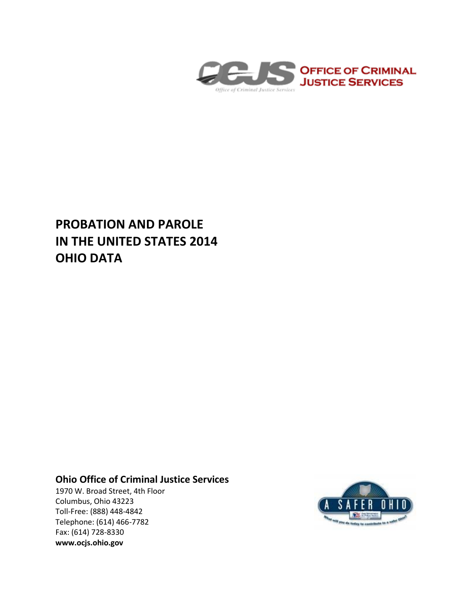

# **PROBATION AND PAROLE IN THE UNITED STATES 2014 OHIO DATA**

# **Ohio Office of Criminal Justice Services**

1970 W. Broad Street, 4th Floor Columbus, Ohio 43223 Toll-Free: (888) 448-4842 Telephone: (614) 466-7782 Fax: (614) 728-8330 **www.ocjs.ohio.gov**

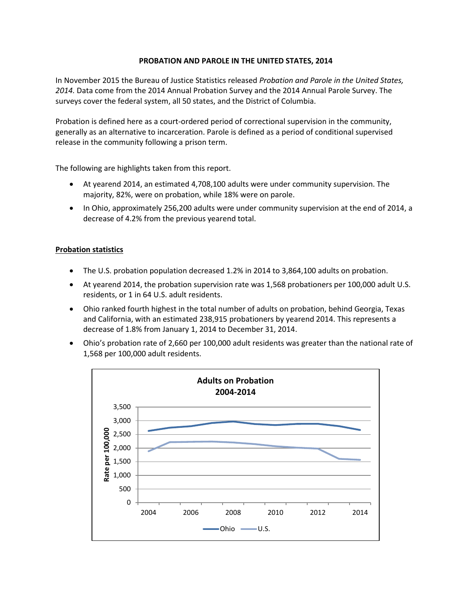## **PROBATION AND PAROLE IN THE UNITED STATES, 2014**

In November 2015 the Bureau of Justice Statistics released *Probation and Parole in the United States, 2014.* Data come from the 2014 Annual Probation Survey and the 2014 Annual Parole Survey. The surveys cover the federal system, all 50 states, and the District of Columbia.

Probation is defined here as a court-ordered period of correctional supervision in the community, generally as an alternative to incarceration. Parole is defined as a period of conditional supervised release in the community following a prison term.

The following are highlights taken from this report.

- At yearend 2014, an estimated 4,708,100 adults were under community supervision. The majority, 82%, were on probation, while 18% were on parole.
- In Ohio, approximately 256,200 adults were under community supervision at the end of 2014, a decrease of 4.2% from the previous yearend total.

### **Probation statistics**

- The U.S. probation population decreased 1.2% in 2014 to 3,864,100 adults on probation.
- At yearend 2014, the probation supervision rate was 1,568 probationers per 100,000 adult U.S. residents, or 1 in 64 U.S. adult residents.
- Ohio ranked fourth highest in the total number of adults on probation, behind Georgia, Texas and California, with an estimated 238,915 probationers by yearend 2014. This represents a decrease of 1.8% from January 1, 2014 to December 31, 2014.
- Ohio's probation rate of 2,660 per 100,000 adult residents was greater than the national rate of 1,568 per 100,000 adult residents.

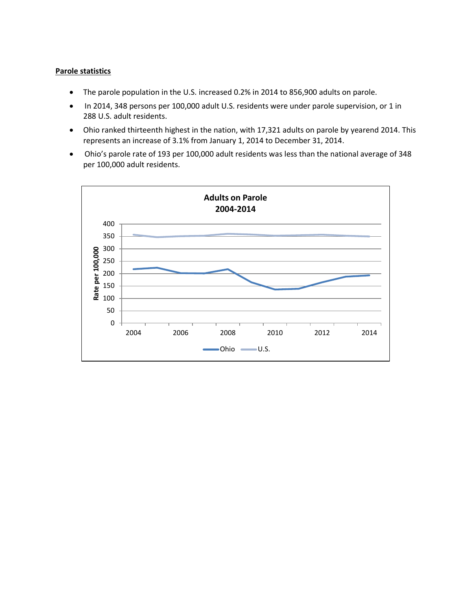### **Parole statistics**

- The parole population in the U.S. increased 0.2% in 2014 to 856,900 adults on parole.
- In 2014, 348 persons per 100,000 adult U.S. residents were under parole supervision, or 1 in 288 U.S. adult residents.
- Ohio ranked thirteenth highest in the nation, with 17,321 adults on parole by yearend 2014. This represents an increase of 3.1% from January 1, 2014 to December 31, 2014.
- Ohio's parole rate of 193 per 100,000 adult residents was less than the national average of 348 per 100,000 adult residents.